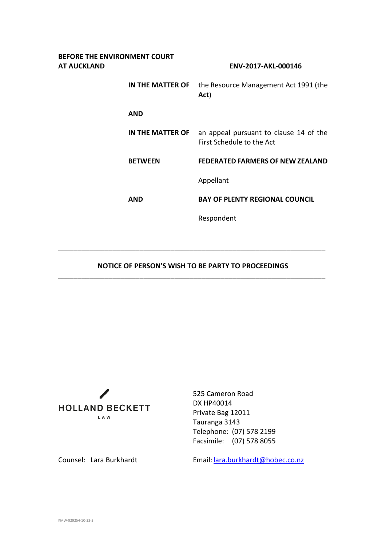| BEFORE THE ENVIRONMENT COURT<br>AT AUCKLAND |                  | ENV-2017-AKL-000146                                                 |
|---------------------------------------------|------------------|---------------------------------------------------------------------|
|                                             | IN THE MATTER OF | the Resource Management Act 1991 (the<br>Act)                       |
|                                             | AND              |                                                                     |
|                                             | IN THE MATTER OF | an appeal pursuant to clause 14 of the<br>First Schedule to the Act |
|                                             | <b>BETWEEN</b>   | <b>FEDERATED FARMERS OF NEW ZEALAND</b>                             |
|                                             |                  | Appellant                                                           |
|                                             | <b>AND</b>       | <b>BAY OF PLENTY REGIONAL COUNCIL</b>                               |
|                                             |                  | Respondent                                                          |
|                                             |                  |                                                                     |

## **NOTICE OF PERSON'S WISH TO BE PARTY TO PROCEEDINGS** \_\_\_\_\_\_\_\_\_\_\_\_\_\_\_\_\_\_\_\_\_\_\_\_\_\_\_\_\_\_\_\_\_\_\_\_\_\_\_\_\_\_\_\_\_\_\_\_\_\_\_\_\_\_\_\_\_\_\_\_\_\_\_\_\_\_\_\_\_

\_\_\_\_\_\_\_\_\_\_\_\_\_\_\_\_\_\_\_\_\_\_\_\_\_\_\_\_\_\_\_\_\_\_\_\_\_\_\_\_\_\_\_\_\_\_\_\_\_\_\_\_\_\_\_\_\_\_\_\_\_\_\_\_\_\_\_\_\_



525 Cameron Road DX HP40014 Private Bag 12011 Tauranga 3143 Telephone: (07) 578 2199 Facsimile: (07) 578 8055

Counsel: Lara Burkhardt Email: [lara.burkhardt@hobec.co.nz](mailto:lara.burkhardt@hobec.co.nz)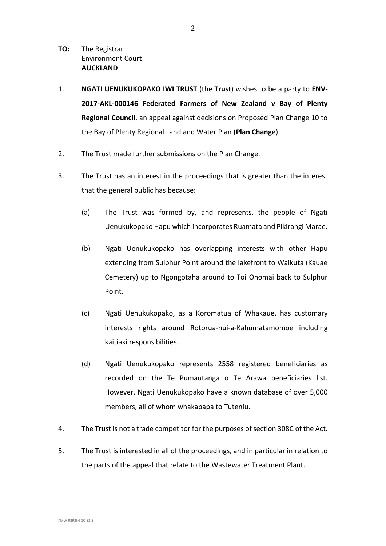- **TO:** The Registrar Environment Court **AUCKLAND**
- 1. **NGATI UENUKUKOPAKO IWI TRUST** (the **Trust**) wishes to be a party to **ENV-2017-AKL-000146 Federated Farmers of New Zealand v Bay of Plenty Regional Council**, an appeal against decisions on Proposed Plan Change 10 to the Bay of Plenty Regional Land and Water Plan (**Plan Change**).
- 2. The Trust made further submissions on the Plan Change.
- 3. The Trust has an interest in the proceedings that is greater than the interest that the general public has because:
	- (a) The Trust was formed by, and represents, the people of Ngati Uenukukopako Hapu which incorporates Ruamata and Pikirangi Marae.
	- (b) Ngati Uenukukopako has overlapping interests with other Hapu extending from Sulphur Point around the lakefront to Waikuta (Kauae Cemetery) up to Ngongotaha around to Toi Ohomai back to Sulphur Point.
	- (c) Ngati Uenukukopako, as a Koromatua of Whakaue, has customary interests rights around Rotorua-nui-a-Kahumatamomoe including kaitiaki responsibilities.
	- (d) Ngati Uenukukopako represents 2558 registered beneficiaries as recorded on the Te Pumautanga o Te Arawa beneficiaries list. However, Ngati Uenukukopako have a known database of over 5,000 members, all of whom whakapapa to Tuteniu.
- 4. The Trust is not a trade competitor for the purposes of section 308C of the Act.
- 5. The Trust is interested in all of the proceedings, and in particular in relation to the parts of the appeal that relate to the Wastewater Treatment Plant.